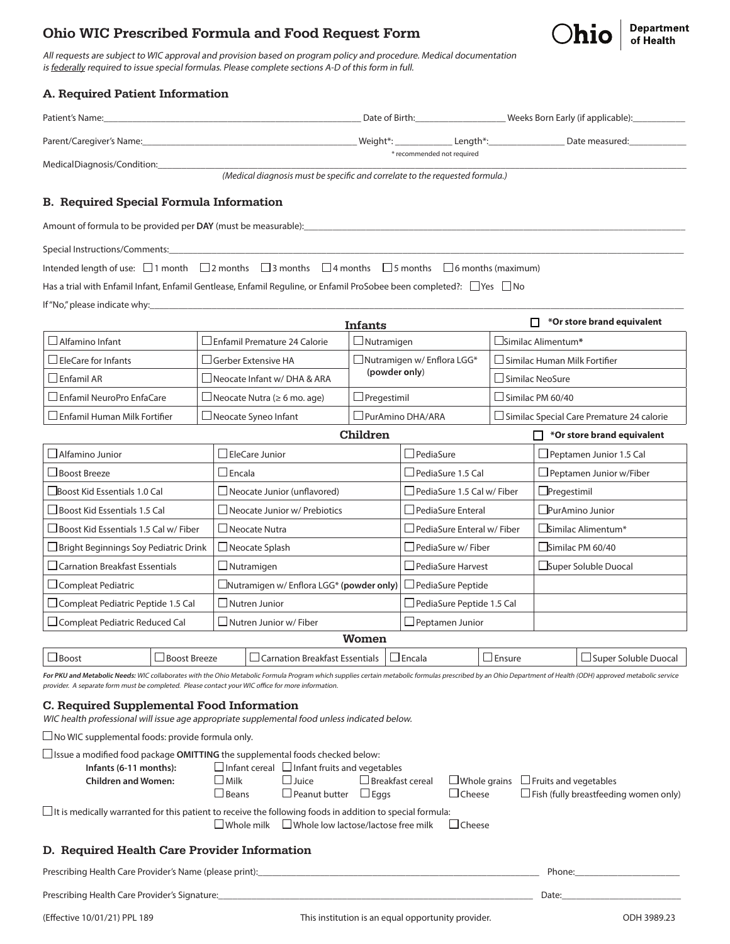# Ohio WIC Prescribed Formula and Food Request Form



All requests are subject to WIC approval and provision based on program policy and procedure. Medical documentation is federally required to issue special formulas. Please complete sections A-D of this form in full.

| A. Required Patient Information                                                                                                  |                                               |                                                 |                                                    |                                  |                                     |                                             |  |  |  |
|----------------------------------------------------------------------------------------------------------------------------------|-----------------------------------------------|-------------------------------------------------|----------------------------------------------------|----------------------------------|-------------------------------------|---------------------------------------------|--|--|--|
|                                                                                                                                  |                                               |                                                 |                                                    |                                  |                                     |                                             |  |  |  |
| Parent/Caregiver's Name: Date measured: Caregiver's Name: Caregiver's Name: Caregiver's Name: Date measured:                     |                                               |                                                 |                                                    |                                  |                                     |                                             |  |  |  |
| MedicalDiagnosis/Condition:_____________                                                                                         |                                               |                                                 | * recommended not required                         |                                  |                                     |                                             |  |  |  |
| (Medical diagnosis must be specific and correlate to the requested formula.)                                                     |                                               |                                                 |                                                    |                                  |                                     |                                             |  |  |  |
| <b>B.</b> Required Special Formula Information                                                                                   |                                               |                                                 |                                                    |                                  |                                     |                                             |  |  |  |
| Amount of formula to be provided per DAY (must be measurable):                                                                   |                                               |                                                 |                                                    |                                  |                                     |                                             |  |  |  |
| Special Instructions/Comments: Note that the set of the set of the set of the set of the set of the set of the                   |                                               |                                                 |                                                    |                                  |                                     |                                             |  |  |  |
| Intended length of use: $\Box$ 1 month $\Box$ 2 months $\Box$ 3 months $\Box$ 4 months $\Box$ 5 months $\Box$ 6 months (maximum) |                                               |                                                 |                                                    |                                  |                                     |                                             |  |  |  |
| Has a trial with Enfamil Infant, Enfamil Gentlease, Enfamil Reguline, or Enfamil ProSobee been completed?: $\Box$ Yes $\Box$ No  |                                               |                                                 |                                                    |                                  |                                     |                                             |  |  |  |
|                                                                                                                                  |                                               |                                                 |                                                    |                                  |                                     |                                             |  |  |  |
|                                                                                                                                  |                                               |                                                 | <b>Infants</b>                                     |                                  |                                     | *Or store brand equivalent                  |  |  |  |
| $\Box$ Alfamino Infant                                                                                                           |                                               | □ Enfamil Premature 24 Calorie                  | $\Box$ Nutramigen                                  |                                  | □Similac Alimentum*                 |                                             |  |  |  |
| $\Box$ EleCare for Infants                                                                                                       |                                               | $\Box$ Gerber Extensive HA                      | $\Box$ Nutramigen w/ Enflora LGG*<br>(powder only) |                                  | $\Box$ Similac Human Milk Fortifier |                                             |  |  |  |
| $\Box$ Enfamil AR                                                                                                                |                                               | $\Box$ Neocate Infant w/ DHA & ARA              |                                                    |                                  | $\Box$ Similac NeoSure              |                                             |  |  |  |
| $\Box$ Enfamil NeuroPro EnfaCare                                                                                                 |                                               | □ Neocate Nutra ( $\geq 6$ mo. age)             | $\Box$ Similac PM 60/40<br>$\Box$ Pregestimil      |                                  |                                     |                                             |  |  |  |
| $\Box$ Enfamil Human Milk Fortifier                                                                                              |                                               | $\Box$ Neocate Syneo Infant                     | □ PurAmino DHA/ARA                                 |                                  |                                     | □ Similac Special Care Premature 24 calorie |  |  |  |
|                                                                                                                                  | Children<br>$\Box$ *Or store brand equivalent |                                                 |                                                    |                                  |                                     |                                             |  |  |  |
| $\Box$ Alfamino Junior                                                                                                           | EleCare Junior                                |                                                 | $\Box$ PediaSure                                   |                                  |                                     | $\Box$ Peptamen Junior 1.5 Cal              |  |  |  |
| $\Box$ Boost Breeze                                                                                                              | $\Box$ Encala                                 |                                                 | $\Box$ PediaSure 1.5 Cal                           |                                  |                                     | $\Box$ Peptamen Junior w/Fiber              |  |  |  |
| $\Box$ Boost Kid Essentials 1.0 Cal                                                                                              | $\Box$ Neocate Junior (unflavored)            |                                                 |                                                    | PediaSure 1.5 Cal w/ Fiber       |                                     | $\Box$ Pregestimil                          |  |  |  |
| $\sqcup$ Boost Kid Essentials 1.5 Cal                                                                                            |                                               | $\Box$ Neocate Junior w/ Prebiotics             |                                                    | $\Box$ PediaSure Enteral         |                                     | $L$ PurAmino Junior                         |  |  |  |
| $\Box$ Boost Kid Essentials 1.5 Cal w/ Fiber                                                                                     |                                               | $\Box$ Neocate Nutra                            |                                                    | $\Box$ PediaSure Enteral w/Fiber |                                     | $\Box$ Similac Alimentum*                   |  |  |  |
| $\square$ Bright Beginnings Soy Pediatric Drink                                                                                  |                                               | $\Box$ Neocate Splash                           |                                                    | $\Box$ PediaSure w/ Fiber        |                                     | $\Box$ Similac PM 60/40                     |  |  |  |
| $\Box$ Carnation Breakfast Essentials                                                                                            |                                               | $\Box$ Nutramigen                               | PediaSure Harvest                                  |                                  | ∟Super Soluble Duocal               |                                             |  |  |  |
| $\Box$ Compleat Pediatric                                                                                                        |                                               | $\Box$ Nutramigen w/ Enflora LGG* (powder only) | □ PediaSure Peptide                                |                                  |                                     |                                             |  |  |  |
| □ Compleat Pediatric Peptide 1.5 Cal                                                                                             |                                               | $\square$ Nutren Junior                         |                                                    | $\Box$ PediaSure Peptide 1.5 Cal |                                     |                                             |  |  |  |
| □ Compleat Pediatric Reduced Cal                                                                                                 |                                               | $\Box$ Nutren Junior w/ Fiber                   |                                                    | Peptamen Junior                  |                                     |                                             |  |  |  |
| Women                                                                                                                            |                                               |                                                 |                                                    |                                  |                                     |                                             |  |  |  |

 $\Box$ Boost  $\Box$ Boost Breeze  $\Box$ Carnation Breakfast Essentials  $\Box$  Encala  $\Box$  Ensure  $\Box$  Super Soluble Duocal For PKU and Metabolic Needs: WIC collaborates with the Ohio Metabolic Formula Program which supplies certain metabolic formulas prescribed by an Ohio Department of Health (ODH) approved metabolic service provider. A separate form must be completed. Please contact your WIC office for more information.

#### C. Required Supplemental Food Information

WIC health professional will issue age appropriate supplemental food unless indicated below.

 $\square$  No WIC supplemental foods: provide formula only.

| $\Box$ Issue a modified food package <b>OMITTING</b> the supplemental foods checked below:                |                                                          |                      |                         |               |                                                  |  |  |  |  |  |  |
|-----------------------------------------------------------------------------------------------------------|----------------------------------------------------------|----------------------|-------------------------|---------------|--------------------------------------------------|--|--|--|--|--|--|
| Infants (6-11 months):                                                                                    | $\Box$ Infant cereal $\Box$ Infant fruits and vegetables |                      |                         |               |                                                  |  |  |  |  |  |  |
| <b>Children and Women:</b>                                                                                | $\lrcorner$ Milk                                         | $\lrcorner$ Juice    | $\Box$ Breakfast cereal |               | $\Box$ Whole grains $\Box$ Fruits and vegetables |  |  |  |  |  |  |
|                                                                                                           | $\Box$ Beans                                             | $\Box$ Peanut butter | $\Box$ Eags             | $\Box$ Cheese | $\Box$ Fish (fully breastfeeding women only)     |  |  |  |  |  |  |
| It is medically warranted for this patient to receive the following foods in addition to special formula: |                                                          |                      |                         |               |                                                  |  |  |  |  |  |  |

 $\square$  Whole milk  $\square$  Whole low lactose/lactose free milk  $\square$  Cheese

#### D. Required Health Care Provider Information

Prescribing Health Care Provider's Name (please print):\_\_\_\_\_\_\_\_\_\_\_\_\_\_\_\_\_\_\_\_\_\_\_\_\_\_\_\_\_\_\_\_\_\_\_\_\_\_\_\_\_\_\_\_\_\_\_\_\_\_\_\_\_\_\_\_\_\_\_ Phone:\_\_\_\_\_\_\_\_\_\_\_\_\_\_\_\_\_\_\_\_\_\_

Prescribing Health Care Provider's Signature:\_\_\_\_\_\_\_\_\_\_\_\_\_\_\_\_\_\_\_\_\_\_\_\_\_\_\_\_\_\_\_\_\_\_\_\_\_\_\_\_\_\_\_\_\_\_\_\_\_\_\_\_\_\_\_\_\_\_\_\_\_\_\_\_\_\_ Date:\_\_\_\_\_\_\_\_\_\_\_\_\_\_\_\_\_\_\_\_\_\_\_\_\_